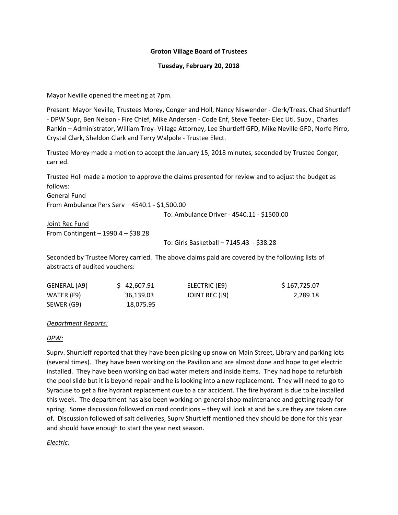### **Groton Village Board of Trustees**

#### **Tuesday, February 20, 2018**

Mayor Neville opened the meeting at 7pm.

Present: Mayor Neville, Trustees Morey, Conger and Holl, Nancy Niswender ‐ Clerk/Treas, Chad Shurtleff ‐ DPW Supr, Ben Nelson ‐ Fire Chief, Mike Andersen ‐ Code Enf, Steve Teeter‐ Elec Utl. Supv., Charles Rankin – Administrator, William Troy- Village Attorney, Lee Shurtleff GFD, Mike Neville GFD, Norfe Pirro, Crystal Clark, Sheldon Clark and Terry Walpole ‐ Trustee Elect.

Trustee Morey made a motion to accept the January 15, 2018 minutes, seconded by Trustee Conger, carried.

Trustee Holl made a motion to approve the claims presented for review and to adjust the budget as follows:

General Fund From Ambulance Pers Serv – 4540.1 ‐ \$1,500.00

To: Ambulance Driver ‐ 4540.11 ‐ \$1500.00

Joint Rec Fund From Contingent – 1990.4 – \$38.28

To: Girls Basketball – 7145.43 ‐ \$38.28

Seconded by Trustee Morey carried. The above claims paid are covered by the following lists of abstracts of audited vouchers:

| GENERAL (A9)             | \$42,607.91            | ELECTRIC (E9)  | \$167,725.07 |
|--------------------------|------------------------|----------------|--------------|
| WATER (F9)<br>SEWER (G9) | 36.139.03<br>18,075.95 | JOINT REC (J9) | 2,289.18     |

*Department Reports:*

#### *DPW:*

Suprv. Shurtleff reported that they have been picking up snow on Main Street, Library and parking lots (several times). They have been working on the Pavilion and are almost done and hope to get electric installed. They have been working on bad water meters and inside items. They had hope to refurbish the pool slide but it is beyond repair and he is looking into a new replacement. They will need to go to Syracuse to get a fire hydrant replacement due to a car accident. The fire hydrant is due to be installed this week. The department has also been working on general shop maintenance and getting ready for spring. Some discussion followed on road conditions – they will look at and be sure they are taken care of. Discussion followed of salt deliveries, Suprv Shurtleff mentioned they should be done for this year and should have enough to start the year next season.

## *Electric:*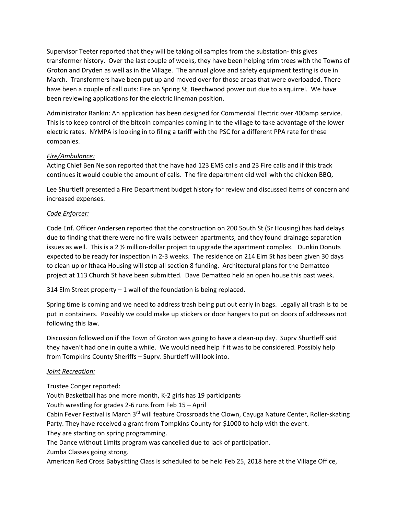Supervisor Teeter reported that they will be taking oil samples from the substation‐ this gives transformer history. Over the last couple of weeks, they have been helping trim trees with the Towns of Groton and Dryden as well as in the Village. The annual glove and safety equipment testing is due in March. Transformers have been put up and moved over for those areas that were overloaded. There have been a couple of call outs: Fire on Spring St, Beechwood power out due to a squirrel. We have been reviewing applications for the electric lineman position.

Administrator Rankin: An application has been designed for Commercial Electric over 400amp service. This is to keep control of the bitcoin companies coming in to the village to take advantage of the lower electric rates. NYMPA is looking in to filing a tariff with the PSC for a different PPA rate for these companies.

# *Fire/Ambulance:*

Acting Chief Ben Nelson reported that the have had 123 EMS calls and 23 Fire calls and if this track continues it would double the amount of calls. The fire department did well with the chicken BBQ.

Lee Shurtleff presented a Fire Department budget history for review and discussed items of concern and increased expenses.

# *Code Enforcer:*

Code Enf. Officer Andersen reported that the construction on 200 South St (Sr Housing) has had delays due to finding that there were no fire walls between apartments, and they found drainage separation issues as well. This is a 2  $\frac{1}{2}$  million-dollar project to upgrade the apartment complex. Dunkin Donuts expected to be ready for inspection in 2‐3 weeks. The residence on 214 Elm St has been given 30 days to clean up or Ithaca Housing will stop all section 8 funding. Architectural plans for the Dematteo project at 113 Church St have been submitted. Dave Dematteo held an open house this past week.

314 Elm Street property – 1 wall of the foundation is being replaced.

Spring time is coming and we need to address trash being put out early in bags. Legally all trash is to be put in containers. Possibly we could make up stickers or door hangers to put on doors of addresses not following this law.

Discussion followed on if the Town of Groton was going to have a clean‐up day. Suprv Shurtleff said they haven't had one in quite a while. We would need help if it was to be considered. Possibly help from Tompkins County Sheriffs – Suprv. Shurtleff will look into.

## *Joint Recreation:*

Trustee Conger reported:

Youth Basketball has one more month, K‐2 girls has 19 participants Youth wrestling for grades 2‐6 runs from Feb 15 – April Cabin Fever Festival is March 3<sup>rd</sup> will feature Crossroads the Clown, Cayuga Nature Center, Roller-skating Party. They have received a grant from Tompkins County for \$1000 to help with the event. They are starting on spring programming. The Dance without Limits program was cancelled due to lack of participation. Zumba Classes going strong. American Red Cross Babysitting Class is scheduled to be held Feb 25, 2018 here at the Village Office,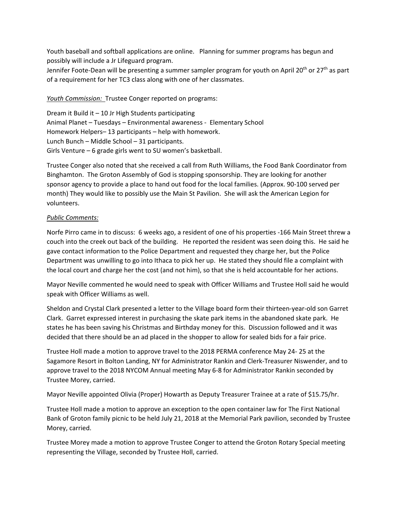Youth baseball and softball applications are online. Planning for summer programs has begun and possibly will include a Jr Lifeguard program.

Jennifer Foote-Dean will be presenting a summer sampler program for youth on April 20<sup>th</sup> or 27<sup>th</sup> as part of a requirement for her TC3 class along with one of her classmates.

## *Youth Commission:* Trustee Conger reported on programs:

Dream it Build it – 10 Jr High Students participating Animal Planet – Tuesdays – Environmental awareness ‐ Elementary School Homework Helpers– 13 participants – help with homework. Lunch Bunch – Middle School – 31 participants. Girls Venture – 6 grade girls went to SU women's basketball.

Trustee Conger also noted that she received a call from Ruth Williams, the Food Bank Coordinator from Binghamton. The Groton Assembly of God is stopping sponsorship. They are looking for another sponsor agency to provide a place to hand out food for the local families. (Approx. 90‐100 served per month) They would like to possibly use the Main St Pavilion. She will ask the American Legion for volunteers.

# *Public Comments:*

Norfe Pirro came in to discuss: 6 weeks ago, a resident of one of his properties ‐166 Main Street threw a couch into the creek out back of the building. He reported the resident was seen doing this. He said he gave contact information to the Police Department and requested they charge her, but the Police Department was unwilling to go into Ithaca to pick her up. He stated they should file a complaint with the local court and charge her the cost (and not him), so that she is held accountable for her actions.

Mayor Neville commented he would need to speak with Officer Williams and Trustee Holl said he would speak with Officer Williams as well.

Sheldon and Crystal Clark presented a letter to the Village board form their thirteen‐year‐old son Garret Clark. Garret expressed interest in purchasing the skate park items in the abandoned skate park. He states he has been saving his Christmas and Birthday money for this. Discussion followed and it was decided that there should be an ad placed in the shopper to allow for sealed bids for a fair price.

Trustee Holl made a motion to approve travel to the 2018 PERMA conference May 24‐ 25 at the Sagamore Resort in Bolton Landing, NY for Administrator Rankin and Clerk‐Treasurer Niswender, and to approve travel to the 2018 NYCOM Annual meeting May 6‐8 for Administrator Rankin seconded by Trustee Morey, carried.

Mayor Neville appointed Olivia (Proper) Howarth as Deputy Treasurer Trainee at a rate of \$15.75/hr.

Trustee Holl made a motion to approve an exception to the open container law for The First National Bank of Groton family picnic to be held July 21, 2018 at the Memorial Park pavilion, seconded by Trustee Morey, carried.

Trustee Morey made a motion to approve Trustee Conger to attend the Groton Rotary Special meeting representing the Village, seconded by Trustee Holl, carried.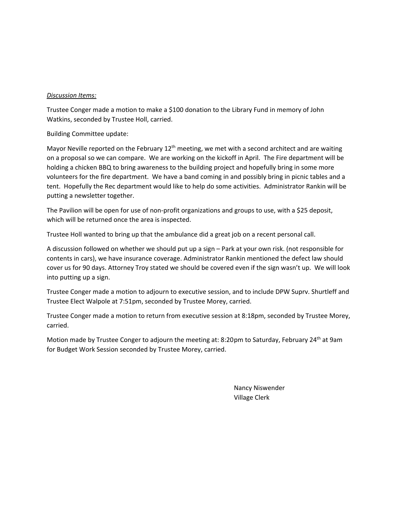#### *Discussion Items:*

Trustee Conger made a motion to make a \$100 donation to the Library Fund in memory of John Watkins, seconded by Trustee Holl, carried.

Building Committee update:

Mayor Neville reported on the February  $12<sup>th</sup>$  meeting, we met with a second architect and are waiting on a proposal so we can compare. We are working on the kickoff in April. The Fire department will be holding a chicken BBQ to bring awareness to the building project and hopefully bring in some more volunteers for the fire department. We have a band coming in and possibly bring in picnic tables and a tent. Hopefully the Rec department would like to help do some activities. Administrator Rankin will be putting a newsletter together.

The Pavilion will be open for use of non-profit organizations and groups to use, with a \$25 deposit, which will be returned once the area is inspected.

Trustee Holl wanted to bring up that the ambulance did a great job on a recent personal call.

A discussion followed on whether we should put up a sign – Park at your own risk. (not responsible for contents in cars), we have insurance coverage. Administrator Rankin mentioned the defect law should cover us for 90 days. Attorney Troy stated we should be covered even if the sign wasn't up. We will look into putting up a sign.

Trustee Conger made a motion to adjourn to executive session, and to include DPW Suprv. Shurtleff and Trustee Elect Walpole at 7:51pm, seconded by Trustee Morey, carried.

Trustee Conger made a motion to return from executive session at 8:18pm, seconded by Trustee Morey, carried.

Motion made by Trustee Conger to adjourn the meeting at: 8:20pm to Saturday, February 24<sup>th</sup> at 9am for Budget Work Session seconded by Trustee Morey, carried.

> Nancy Niswender Village Clerk